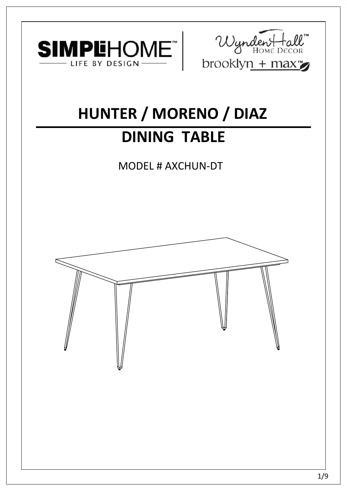



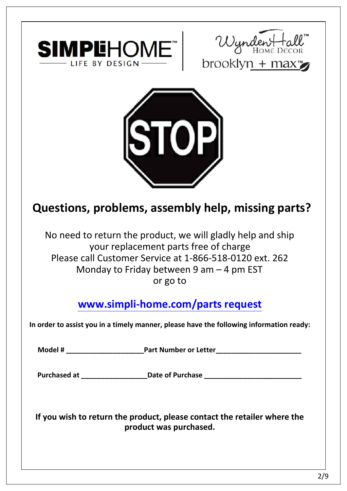





**SIMPLEHOME**<br>
LIFE BY DESIGN<br>
LIFE BY DESIGN<br>
DIFFERENCE DECONIVITY + THEXE EVECTON<br>
DIFFERENCE DECONIVITY + THEXE EVECTON<br>
No need to return the product, we will gladly help and ship<br>
your replacement parts free of charg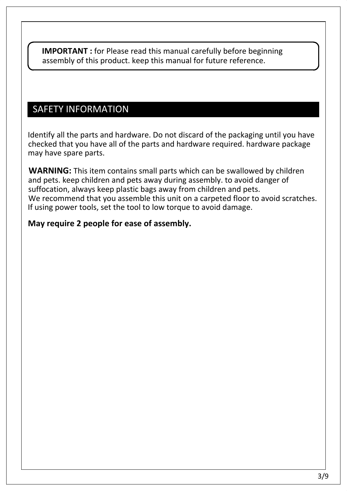IMPORTANT : for Please read this manual carefully before beginning<br>assembly of this product. Reep this manual for future reference.<br>SAFETY INFORMATION<br>dentity all the parts and hardware. Do not discard of the packaging unt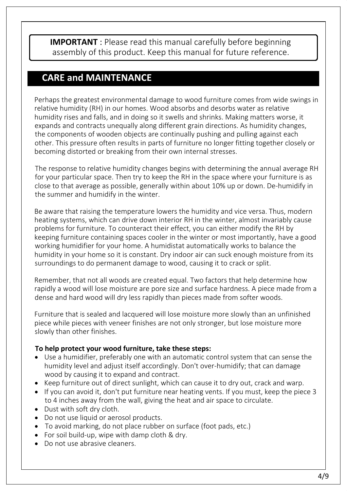**IMPORTANT**: Please read this manual carefully before beginning<br>assembly of this product. Keep this manual carefully before beginning<br>assembly of this product. Keep this manual for future reference.<br>CARE and MAINTENANCE<br>ar

- 
- 
- 
- 
- 
- 
- 
-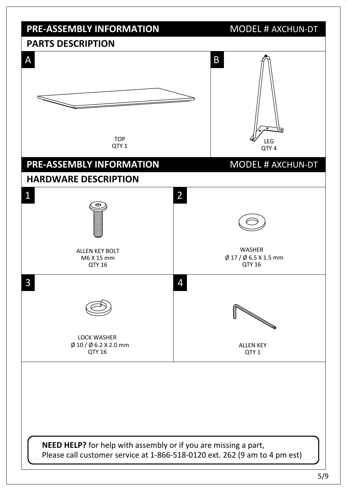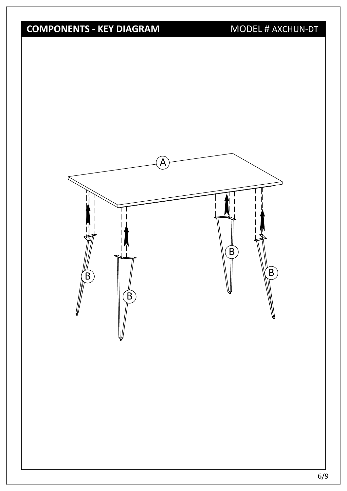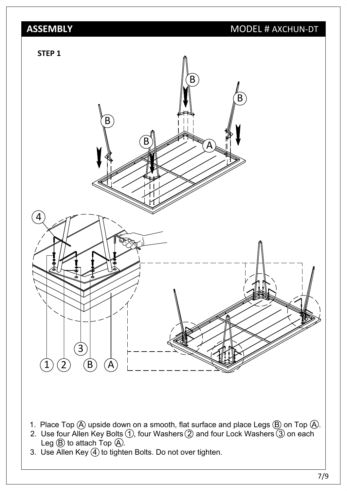

- 
- 
-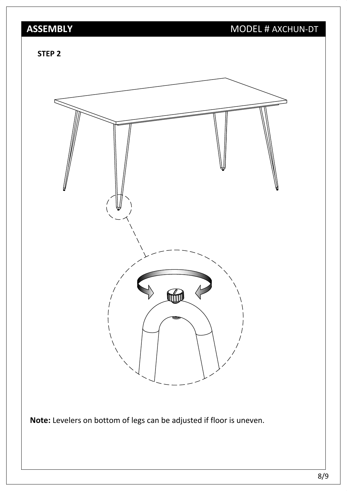